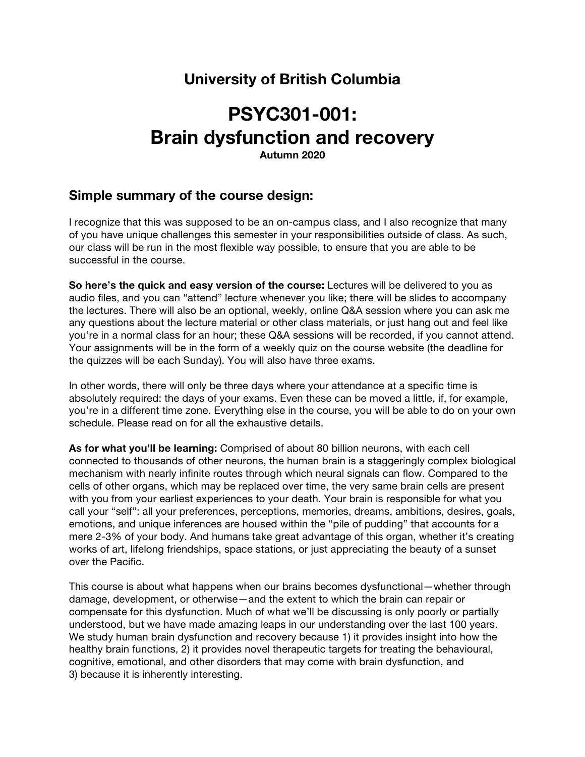# **University of British Columbia**

# **PSYC301-001: Brain dysfunction and recovery**

**Autumn 2020**

# **Simple summary of the course design:**

I recognize that this was supposed to be an on-campus class, and I also recognize that many of you have unique challenges this semester in your responsibilities outside of class. As such, our class will be run in the most flexible way possible, to ensure that you are able to be successful in the course.

**So here's the quick and easy version of the course:** Lectures will be delivered to you as audio files, and you can "attend" lecture whenever you like; there will be slides to accompany the lectures. There will also be an optional, weekly, online Q&A session where you can ask me any questions about the lecture material or other class materials, or just hang out and feel like you're in a normal class for an hour; these Q&A sessions will be recorded, if you cannot attend. Your assignments will be in the form of a weekly quiz on the course website (the deadline for the quizzes will be each Sunday). You will also have three exams.

In other words, there will only be three days where your attendance at a specific time is absolutely required: the days of your exams. Even these can be moved a little, if, for example, you're in a different time zone. Everything else in the course, you will be able to do on your own schedule. Please read on for all the exhaustive details.

**As for what you'll be learning:** Comprised of about 80 billion neurons, with each cell connected to thousands of other neurons, the human brain is a staggeringly complex biological mechanism with nearly infinite routes through which neural signals can flow. Compared to the cells of other organs, which may be replaced over time, the very same brain cells are present with you from your earliest experiences to your death. Your brain is responsible for what you call your "self": all your preferences, perceptions, memories, dreams, ambitions, desires, goals, emotions, and unique inferences are housed within the "pile of pudding" that accounts for a mere 2-3% of your body. And humans take great advantage of this organ, whether it's creating works of art, lifelong friendships, space stations, or just appreciating the beauty of a sunset over the Pacific.

This course is about what happens when our brains becomes dysfunctional—whether through damage, development, or otherwise—and the extent to which the brain can repair or compensate for this dysfunction. Much of what we'll be discussing is only poorly or partially understood, but we have made amazing leaps in our understanding over the last 100 years. We study human brain dysfunction and recovery because 1) it provides insight into how the healthy brain functions, 2) it provides novel therapeutic targets for treating the behavioural, cognitive, emotional, and other disorders that may come with brain dysfunction, and 3) because it is inherently interesting.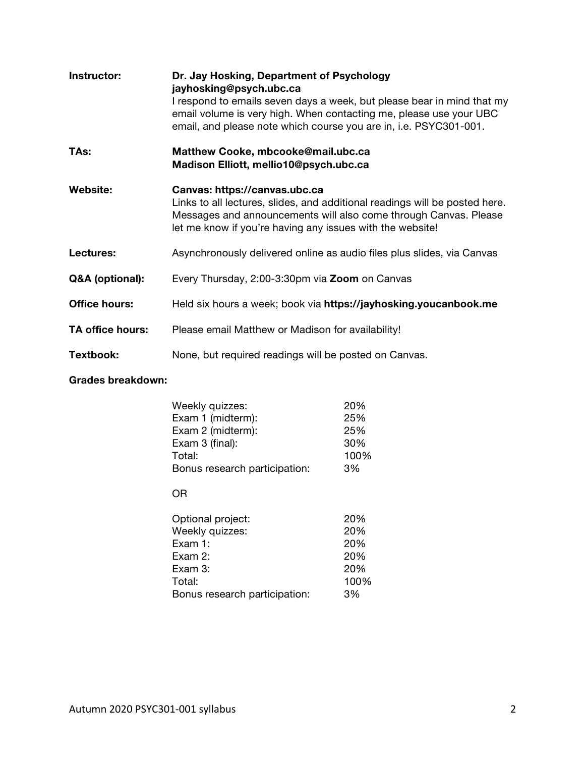| Instructor:          | Dr. Jay Hosking, Department of Psychology<br>jayhosking@psych.ubc.ca<br>I respond to emails seven days a week, but please bear in mind that my<br>email volume is very high. When contacting me, please use your UBC<br>email, and please note which course you are in, i.e. PSYC301-001. |
|----------------------|-------------------------------------------------------------------------------------------------------------------------------------------------------------------------------------------------------------------------------------------------------------------------------------------|
| TAs:                 | Matthew Cooke, mbcooke@mail.ubc.ca<br>Madison Elliott, mellio10@psych.ubc.ca                                                                                                                                                                                                              |
| Website:             | Canvas: https://canvas.ubc.ca<br>Links to all lectures, slides, and additional readings will be posted here.<br>Messages and announcements will also come through Canvas. Please<br>let me know if you're having any issues with the website!                                             |
| Lectures:            | Asynchronously delivered online as audio files plus slides, via Canvas                                                                                                                                                                                                                    |
| Q&A (optional):      | Every Thursday, 2:00-3:30pm via <b>Zoom</b> on Canvas                                                                                                                                                                                                                                     |
| <b>Office hours:</b> | Held six hours a week; book via https://jayhosking.youcanbook.me                                                                                                                                                                                                                          |
| TA office hours:     | Please email Matthew or Madison for availability!                                                                                                                                                                                                                                         |
| Textbook:            | None, but required readings will be posted on Canvas.                                                                                                                                                                                                                                     |

# **Grades breakdown:**

| Weekly quizzes:               | 20%  |
|-------------------------------|------|
| Exam 1 (midterm):             | 25%  |
| Exam 2 (midterm):             | 25%  |
| Exam 3 (final):               | 30%  |
| Total:                        | 100% |
| Bonus research participation: | 3%   |
|                               |      |

# OR

| 20%  |
|------|
| 20%  |
| 20%  |
| 20%  |
| 20%  |
| 100% |
| 3%   |
|      |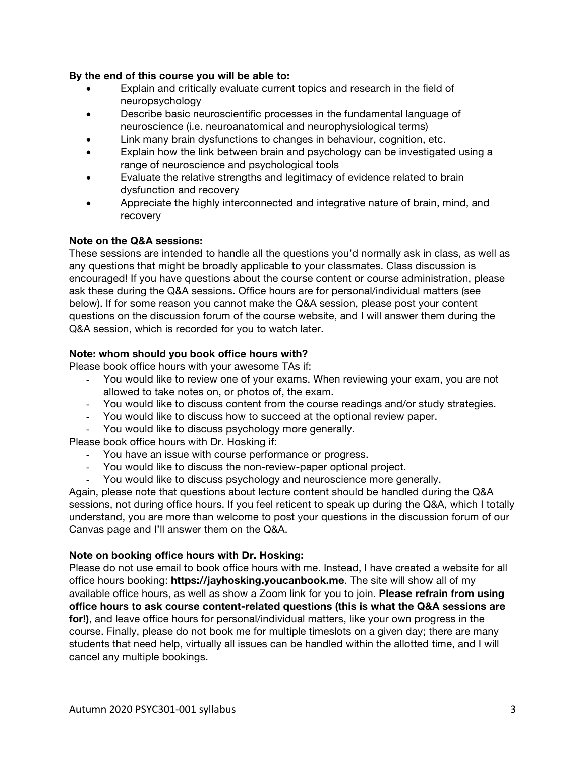## **By the end of this course you will be able to:**

- Explain and critically evaluate current topics and research in the field of neuropsychology
- Describe basic neuroscientific processes in the fundamental language of neuroscience (i.e. neuroanatomical and neurophysiological terms)
- Link many brain dysfunctions to changes in behaviour, cognition, etc.
- Explain how the link between brain and psychology can be investigated using a range of neuroscience and psychological tools
- Evaluate the relative strengths and legitimacy of evidence related to brain dysfunction and recovery
- Appreciate the highly interconnected and integrative nature of brain, mind, and recovery

# **Note on the Q&A sessions:**

These sessions are intended to handle all the questions you'd normally ask in class, as well as any questions that might be broadly applicable to your classmates. Class discussion is encouraged! If you have questions about the course content or course administration, please ask these during the Q&A sessions. Office hours are for personal/individual matters (see below). If for some reason you cannot make the Q&A session, please post your content questions on the discussion forum of the course website, and I will answer them during the Q&A session, which is recorded for you to watch later.

# **Note: whom should you book office hours with?**

Please book office hours with your awesome TAs if:

- You would like to review one of your exams. When reviewing your exam, you are not allowed to take notes on, or photos of, the exam.
- You would like to discuss content from the course readings and/or study strategies.
- You would like to discuss how to succeed at the optional review paper.
- You would like to discuss psychology more generally.

Please book office hours with Dr. Hosking if:

- You have an issue with course performance or progress.
- You would like to discuss the non-review-paper optional project.
- You would like to discuss psychology and neuroscience more generally.

Again, please note that questions about lecture content should be handled during the Q&A sessions, not during office hours. If you feel reticent to speak up during the Q&A, which I totally understand, you are more than welcome to post your questions in the discussion forum of our Canvas page and I'll answer them on the Q&A.

### **Note on booking office hours with Dr. Hosking:**

Please do not use email to book office hours with me. Instead, I have created a website for all office hours booking: **https://jayhosking.youcanbook.me**. The site will show all of my available office hours, as well as show a Zoom link for you to join. **Please refrain from using office hours to ask course content-related questions (this is what the Q&A sessions are for!)**, and leave office hours for personal/individual matters, like your own progress in the course. Finally, please do not book me for multiple timeslots on a given day; there are many students that need help, virtually all issues can be handled within the allotted time, and I will cancel any multiple bookings.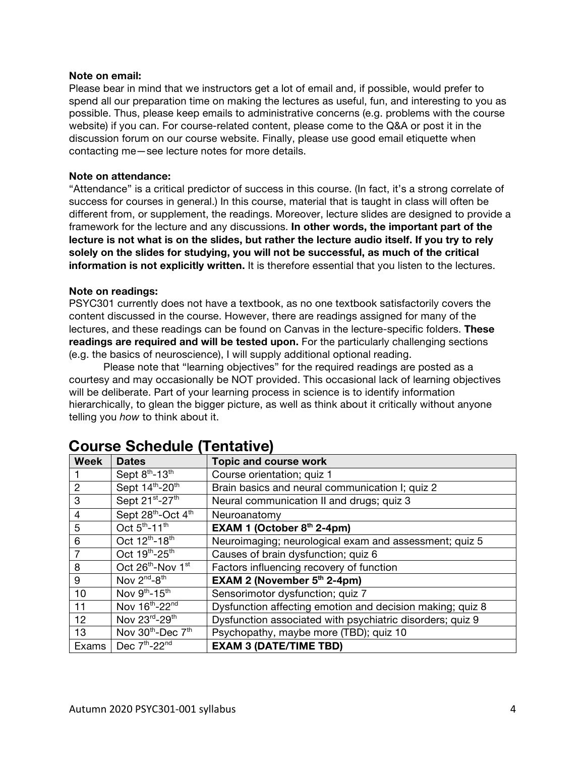### **Note on email:**

Please bear in mind that we instructors get a lot of email and, if possible, would prefer to spend all our preparation time on making the lectures as useful, fun, and interesting to you as possible. Thus, please keep emails to administrative concerns (e.g. problems with the course website) if you can. For course-related content, please come to the Q&A or post it in the discussion forum on our course website. Finally, please use good email etiquette when contacting me—see lecture notes for more details.

### **Note on attendance:**

"Attendance" is a critical predictor of success in this course. (In fact, it's a strong correlate of success for courses in general.) In this course, material that is taught in class will often be different from, or supplement, the readings. Moreover, lecture slides are designed to provide a framework for the lecture and any discussions. **In other words, the important part of the lecture is not what is on the slides, but rather the lecture audio itself. If you try to rely solely on the slides for studying, you will not be successful, as much of the critical information is not explicitly written.** It is therefore essential that you listen to the lectures.

### **Note on readings:**

PSYC301 currently does not have a textbook, as no one textbook satisfactorily covers the content discussed in the course. However, there are readings assigned for many of the lectures, and these readings can be found on Canvas in the lecture-specific folders. **These readings are required and will be tested upon.** For the particularly challenging sections (e.g. the basics of neuroscience), I will supply additional optional reading.

Please note that "learning objectives" for the required readings are posted as a courtesy and may occasionally be NOT provided. This occasional lack of learning objectives will be deliberate. Part of your learning process in science is to identify information hierarchically, to glean the bigger picture, as well as think about it critically without anyone telling you *how* to think about it.

| <b>Week</b>    | <b>Dates</b>                              | <b>Topic and course work</b>                              |  |
|----------------|-------------------------------------------|-----------------------------------------------------------|--|
|                | Sept 8th-13th                             | Course orientation; quiz 1                                |  |
| $\overline{2}$ | Sept 14th-20th                            | Brain basics and neural communication I; quiz 2           |  |
| 3              | Sept 21st-27th                            | Neural communication II and drugs; quiz 3                 |  |
| 4              | Sept 28th-Oct 4th                         | Neuroanatomy                                              |  |
| 5              | Oct 5 <sup>th</sup> -11 <sup>th</sup>     | EXAM 1 (October $8th$ 2-4pm)                              |  |
| 6              | Oct 12 <sup>th</sup> -18 <sup>th</sup>    | Neuroimaging; neurological exam and assessment; quiz 5    |  |
| $\overline{7}$ | Oct 19th-25th                             | Causes of brain dysfunction; quiz 6                       |  |
| 8              | Oct 26th-Nov 1st                          | Factors influencing recovery of function                  |  |
| 9              | Nov 2 <sup>nd</sup> -8 <sup>th</sup>      | <b>EXAM 2 (November <math>5th</math> 2-4pm)</b>           |  |
| 10             | Nov 9th-15th                              | Sensorimotor dysfunction; quiz 7                          |  |
| 11             | Nov 16th-22nd                             | Dysfunction affecting emotion and decision making; quiz 8 |  |
| 12             | Nov 23rd-29th                             | Dysfunction associated with psychiatric disorders; quiz 9 |  |
| 13             | Nov 30 <sup>th</sup> -Dec 7 <sup>th</sup> | Psychopathy, maybe more (TBD); quiz 10                    |  |
| Exams          | Dec $7th - 22nd$                          | <b>EXAM 3 (DATE/TIME TBD)</b>                             |  |

# **Course Schedule (Tentative)**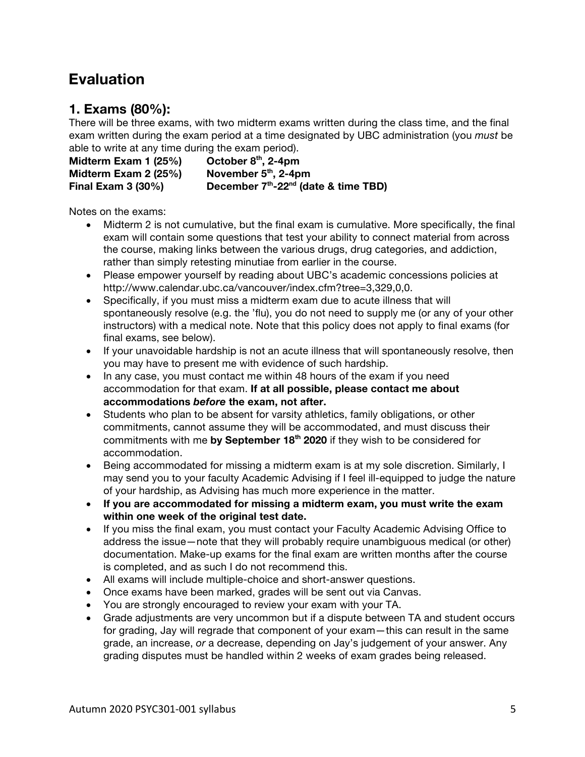# **Evaluation**

# **1. Exams (80%):**

There will be three exams, with two midterm exams written during the class time, and the final exam written during the exam period at a time designated by UBC administration (you *must* be able to write at any time during the exam period).

**Midterm Exam 1 (25%) October 8th, 2-4pm Midterm Exam 2 (25%) November 5th, 2-4pm Final Exam 3 (30%) December 7th-22nd (date & time TBD)**

Notes on the exams:

- Midterm 2 is not cumulative, but the final exam is cumulative. More specifically, the final exam will contain some questions that test your ability to connect material from across the course, making links between the various drugs, drug categories, and addiction, rather than simply retesting minutiae from earlier in the course.
- Please empower yourself by reading about UBC's academic concessions policies at http://www.calendar.ubc.ca/vancouver/index.cfm?tree=3,329,0,0.
- Specifically, if you must miss a midterm exam due to acute illness that will spontaneously resolve (e.g. the 'flu), you do not need to supply me (or any of your other instructors) with a medical note. Note that this policy does not apply to final exams (for final exams, see below).
- If your unavoidable hardship is not an acute illness that will spontaneously resolve, then you may have to present me with evidence of such hardship.
- In any case, you must contact me within 48 hours of the exam if you need accommodation for that exam. **If at all possible, please contact me about accommodations** *before* **the exam, not after.**
- Students who plan to be absent for varsity athletics, family obligations, or other commitments, cannot assume they will be accommodated, and must discuss their commitments with me by September 18<sup>th</sup> 2020 if they wish to be considered for accommodation.
- Being accommodated for missing a midterm exam is at my sole discretion. Similarly, I may send you to your faculty Academic Advising if I feel ill-equipped to judge the nature of your hardship, as Advising has much more experience in the matter.
- **If you are accommodated for missing a midterm exam, you must write the exam within one week of the original test date.**
- If you miss the final exam, you must contact your Faculty Academic Advising Office to address the issue—note that they will probably require unambiguous medical (or other) documentation. Make-up exams for the final exam are written months after the course is completed, and as such I do not recommend this.
- All exams will include multiple-choice and short-answer questions.
- Once exams have been marked, grades will be sent out via Canvas.
- You are strongly encouraged to review your exam with your TA.
- Grade adjustments are very uncommon but if a dispute between TA and student occurs for grading, Jay will regrade that component of your exam—this can result in the same grade, an increase, *or* a decrease, depending on Jay's judgement of your answer. Any grading disputes must be handled within 2 weeks of exam grades being released.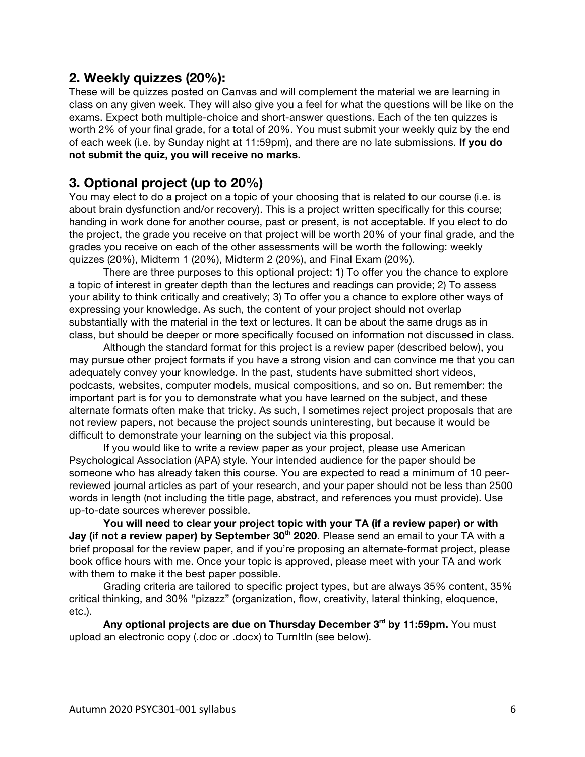# **2. Weekly quizzes (20%):**

These will be quizzes posted on Canvas and will complement the material we are learning in class on any given week. They will also give you a feel for what the questions will be like on the exams. Expect both multiple-choice and short-answer questions. Each of the ten quizzes is worth 2% of your final grade, for a total of 20%. You must submit your weekly quiz by the end of each week (i.e. by Sunday night at 11:59pm), and there are no late submissions. **If you do not submit the quiz, you will receive no marks.**

# **3. Optional project (up to 20%)**

You may elect to do a project on a topic of your choosing that is related to our course (i.e. is about brain dysfunction and/or recovery). This is a project written specifically for this course; handing in work done for another course, past or present, is not acceptable. If you elect to do the project, the grade you receive on that project will be worth 20% of your final grade, and the grades you receive on each of the other assessments will be worth the following: weekly quizzes (20%), Midterm 1 (20%), Midterm 2 (20%), and Final Exam (20%).

There are three purposes to this optional project: 1) To offer you the chance to explore a topic of interest in greater depth than the lectures and readings can provide; 2) To assess your ability to think critically and creatively; 3) To offer you a chance to explore other ways of expressing your knowledge. As such, the content of your project should not overlap substantially with the material in the text or lectures. It can be about the same drugs as in class, but should be deeper or more specifically focused on information not discussed in class.

Although the standard format for this project is a review paper (described below), you may pursue other project formats if you have a strong vision and can convince me that you can adequately convey your knowledge. In the past, students have submitted short videos, podcasts, websites, computer models, musical compositions, and so on. But remember: the important part is for you to demonstrate what you have learned on the subject, and these alternate formats often make that tricky. As such, I sometimes reject project proposals that are not review papers, not because the project sounds uninteresting, but because it would be difficult to demonstrate your learning on the subject via this proposal.

If you would like to write a review paper as your project, please use American Psychological Association (APA) style. Your intended audience for the paper should be someone who has already taken this course. You are expected to read a minimum of 10 peerreviewed journal articles as part of your research, and your paper should not be less than 2500 words in length (not including the title page, abstract, and references you must provide). Use up-to-date sources wherever possible.

**You will need to clear your project topic with your TA (if a review paper) or with Jay (if not a review paper) by September 30<sup>th</sup> 2020. Please send an email to your TA with a** brief proposal for the review paper, and if you're proposing an alternate-format project, please book office hours with me. Once your topic is approved, please meet with your TA and work with them to make it the best paper possible.

Grading criteria are tailored to specific project types, but are always 35% content, 35% critical thinking, and 30% "pizazz" (organization, flow, creativity, lateral thinking, eloquence, etc.).

**Any optional projects are due on Thursday December 3rd by 11:59pm.** You must upload an electronic copy (.doc or .docx) to TurnItIn (see below).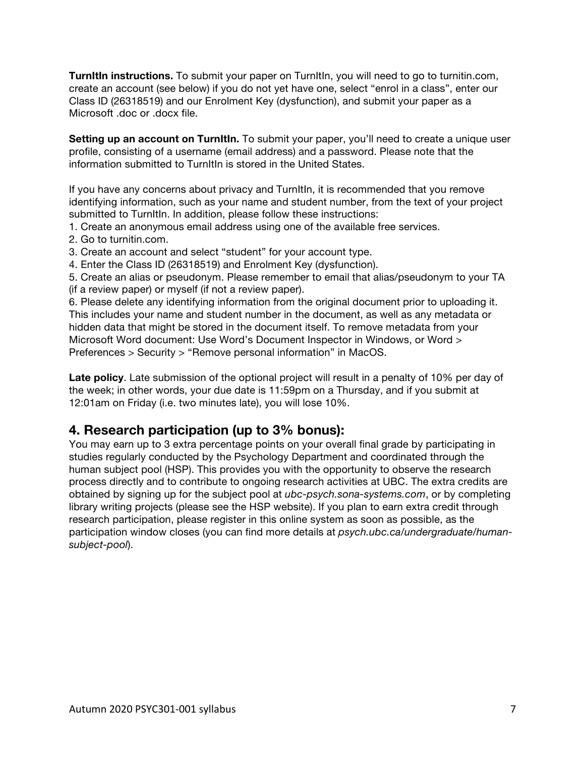**TurnItIn instructions.** To submit your paper on TurnItIn, you will need to go to turnitin.com, create an account (see below) if you do not yet have one, select "enrol in a class", enter our Class ID (26318519) and our Enrolment Key (dysfunction), and submit your paper as a Microsoft .doc or .docx file.

**Setting up an account on TurnItIn.** To submit your paper, you'll need to create a unique user profile, consisting of a username (email address) and a password. Please note that the information submitted to TurnItIn is stored in the United States.

If you have any concerns about privacy and TurnItIn, it is recommended that you remove identifying information, such as your name and student number, from the text of your project submitted to TurnItln. In addition, please follow these instructions:

- 1. Create an anonymous email address using one of the available free services.
- 2. Go to turnitin.com.
- 3. Create an account and select "student" for your account type.
- 4. Enter the Class ID (26318519) and Enrolment Key (dysfunction).

5. Create an alias or pseudonym. Please remember to email that alias/pseudonym to your TA (if a review paper) or myself (if not a review paper).

6. Please delete any identifying information from the original document prior to uploading it. This includes your name and student number in the document, as well as any metadata or hidden data that might be stored in the document itself. To remove metadata from your Microsoft Word document: Use Word's Document Inspector in Windows, or Word > Preferences > Security > "Remove personal information" in MacOS.

**Late policy**. Late submission of the optional project will result in a penalty of 10% per day of the week; in other words, your due date is 11:59pm on a Thursday, and if you submit at 12:01am on Friday (i.e. two minutes late), you will lose 10%.

# **4. Research participation (up to 3% bonus):**

You may earn up to 3 extra percentage points on your overall final grade by participating in studies regularly conducted by the Psychology Department and coordinated through the human subject pool (HSP). This provides you with the opportunity to observe the research process directly and to contribute to ongoing research activities at UBC. The extra credits are obtained by signing up for the subject pool at *ubc-psych.sona-systems.com*, or by completing library writing projects (please see the HSP website). If you plan to earn extra credit through research participation, please register in this online system as soon as possible, as the participation window closes (you can find more details at *psych.ubc.ca/undergraduate/humansubject-pool*).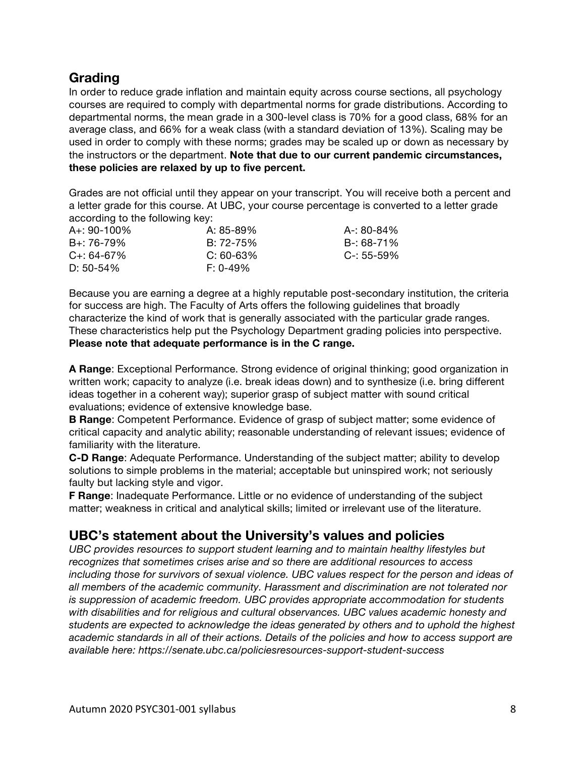# **Grading**

In order to reduce grade inflation and maintain equity across course sections, all psychology courses are required to comply with departmental norms for grade distributions. According to departmental norms, the mean grade in a 300-level class is 70% for a good class, 68% for an average class, and 66% for a weak class (with a standard deviation of 13%). Scaling may be used in order to comply with these norms; grades may be scaled up or down as necessary by the instructors or the department. **Note that due to our current pandemic circumstances, these policies are relaxed by up to five percent.**

Grades are not official until they appear on your transcript. You will receive both a percent and a letter grade for this course. At UBC, your course percentage is converted to a letter grade according to the following key:

| $A_{+}$ : 90-100% | A: 85-89%   | A-: 80-84% |
|-------------------|-------------|------------|
| $B_{+}$ : 76-79%  | B: 72-75%   | B-: 68-71% |
| $C_{+}$ : 64-67%  | $C: 60-63%$ | C-: 55-59% |
| D: $50-54\%$      | $F: 0-49\%$ |            |

Because you are earning a degree at a highly reputable post-secondary institution, the criteria for success are high. The Faculty of Arts offers the following guidelines that broadly characterize the kind of work that is generally associated with the particular grade ranges. These characteristics help put the Psychology Department grading policies into perspective. **Please note that adequate performance is in the C range.**

**A Range**: Exceptional Performance. Strong evidence of original thinking; good organization in written work; capacity to analyze (i.e. break ideas down) and to synthesize (i.e. bring different ideas together in a coherent way); superior grasp of subject matter with sound critical evaluations; evidence of extensive knowledge base.

**B Range**: Competent Performance. Evidence of grasp of subject matter; some evidence of critical capacity and analytic ability; reasonable understanding of relevant issues; evidence of familiarity with the literature.

**C-D Range**: Adequate Performance. Understanding of the subject matter; ability to develop solutions to simple problems in the material; acceptable but uninspired work; not seriously faulty but lacking style and vigor.

**F Range**: Inadequate Performance. Little or no evidence of understanding of the subject matter; weakness in critical and analytical skills; limited or irrelevant use of the literature.

# **UBC's statement about the University's values and policies**

*UBC provides resources to support student learning and to maintain healthy lifestyles but recognizes that sometimes crises arise and so there are additional resources to access including those for survivors of sexual violence. UBC values respect for the person and ideas of all members of the academic community. Harassment and discrimination are not tolerated nor is suppression of academic freedom. UBC provides appropriate accommodation for students with disabilities and for religious and cultural observances. UBC values academic honesty and students are expected to acknowledge the ideas generated by others and to uphold the highest academic standards in all of their actions. Details of the policies and how to access support are available here: https://senate.ubc.ca/policiesresources-support-student-success*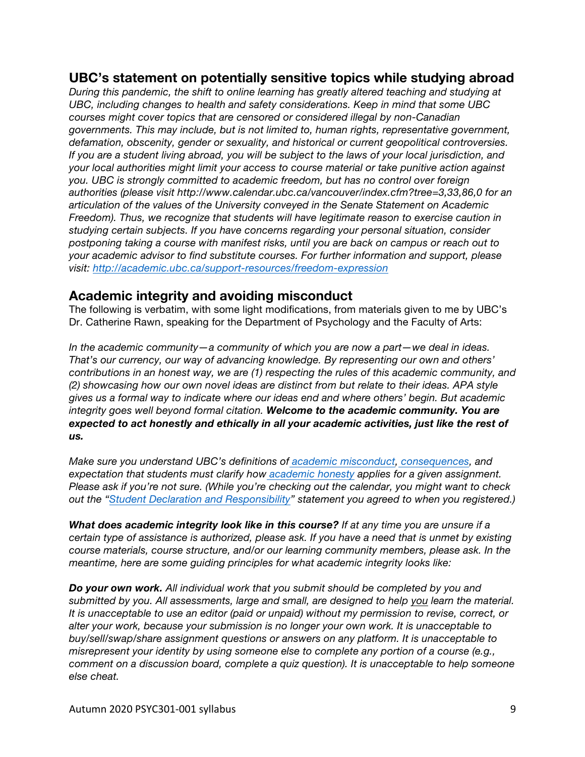# **UBC's statement on potentially sensitive topics while studying abroad**

*During this pandemic, the shift to online learning has greatly altered teaching and studying at UBC, including changes to health and safety considerations. Keep in mind that some UBC courses might cover topics that are censored or considered illegal by non-Canadian governments. This may include, but is not limited to, human rights, representative government, defamation, obscenity, gender or sexuality, and historical or current geopolitical controversies. If you are a student living abroad, you will be subject to the laws of your local jurisdiction, and your local authorities might limit your access to course material or take punitive action against you. UBC is strongly committed to academic freedom, but has no control over foreign authorities (please visit http://www.calendar.ubc.ca/vancouver/index.cfm?tree=3,33,86,0 for an articulation of the values of the University conveyed in the Senate Statement on Academic Freedom). Thus, we recognize that students will have legitimate reason to exercise caution in studying certain subjects. If you have concerns regarding your personal situation, consider postponing taking a course with manifest risks, until you are back on campus or reach out to your academic advisor to find substitute courses. For further information and support, please visit: http://academic.ubc.ca/support-resources/freedom-expression*

# **Academic integrity and avoiding misconduct**

The following is verbatim, with some light modifications, from materials given to me by UBC's Dr. Catherine Rawn, speaking for the Department of Psychology and the Faculty of Arts:

*In the academic community—a community of which you are now a part—we deal in ideas. That's our currency, our way of advancing knowledge. By representing our own and others' contributions in an honest way, we are (1) respecting the rules of this academic community, and (2) showcasing how our own novel ideas are distinct from but relate to their ideas. APA style gives us a formal way to indicate where our ideas end and where others' begin. But academic integrity goes well beyond formal citation. Welcome to the academic community. You are expected to act honestly and ethically in all your academic activities, just like the rest of us.*

*Make sure you understand UBC's definitions of academic misconduct, consequences, and expectation that students must clarify how academic honesty applies for a given assignment. Please ask if you're not sure. (While you're checking out the calendar, you might want to check out the "Student Declaration and Responsibility" statement you agreed to when you registered.)*

*What does academic integrity look like in this course? If at any time you are unsure if a certain type of assistance is authorized, please ask. If you have a need that is unmet by existing course materials, course structure, and/or our learning community members, please ask. In the meantime, here are some guiding principles for what academic integrity looks like:*

*Do your own work. All individual work that you submit should be completed by you and submitted by you. All assessments, large and small, are designed to help you learn the material. It is unacceptable to use an editor (paid or unpaid) without my permission to revise, correct, or alter your work, because your submission is no longer your own work. It is unacceptable to buy/sell/swap/share assignment questions or answers on any platform. It is unacceptable to misrepresent your identity by using someone else to complete any portion of a course (e.g., comment on a discussion board, complete a quiz question). It is unacceptable to help someone else cheat.*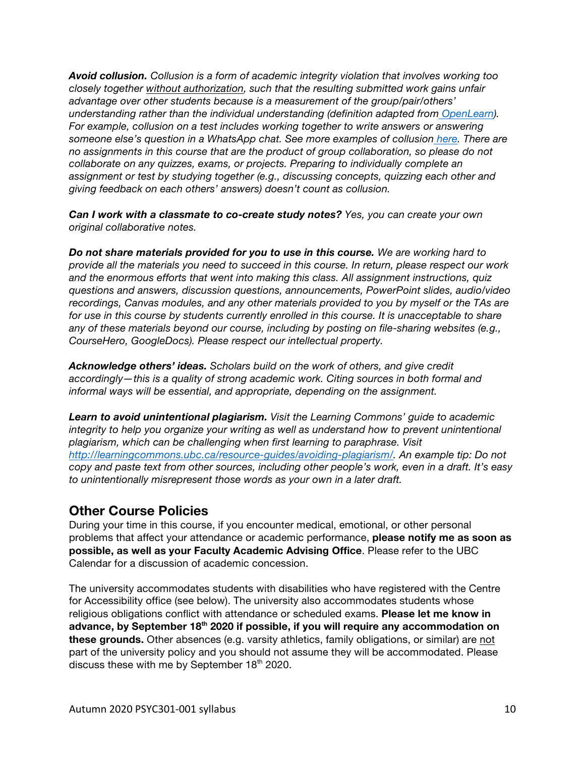*Avoid collusion. Collusion is a form of academic integrity violation that involves working too closely together without authorization, such that the resulting submitted work gains unfair advantage over other students because is a measurement of the group/pair/others' understanding rather than the individual understanding (definition adapted from OpenLearn). For example, collusion on a test includes working together to write answers or answering someone else's question in a WhatsApp chat. See more examples of collusion here. There are no assignments in this course that are the product of group collaboration, so please do not collaborate on any quizzes, exams, or projects. Preparing to individually complete an assignment or test by studying together (e.g., discussing concepts, quizzing each other and giving feedback on each others' answers) doesn't count as collusion.*

*Can I work with a classmate to co-create study notes? Yes, you can create your own original collaborative notes.*

*Do not share materials provided for you to use in this course. We are working hard to provide all the materials you need to succeed in this course. In return, please respect our work and the enormous efforts that went into making this class. All assignment instructions, quiz questions and answers, discussion questions, announcements, PowerPoint slides, audio/video recordings, Canvas modules, and any other materials provided to you by myself or the TAs are for use in this course by students currently enrolled in this course. It is unacceptable to share any of these materials beyond our course, including by posting on file-sharing websites (e.g., CourseHero, GoogleDocs). Please respect our intellectual property.*

*Acknowledge others' ideas. Scholars build on the work of others, and give credit accordingly—this is a quality of strong academic work. Citing sources in both formal and informal ways will be essential, and appropriate, depending on the assignment.*

*Learn to avoid unintentional plagiarism. Visit the Learning Commons' guide to academic integrity to help you organize your writing as well as understand how to prevent unintentional plagiarism, which can be challenging when first learning to paraphrase. Visit http://learningcommons.ubc.ca/resource-guides/avoiding-plagiarism/. An example tip: Do not copy and paste text from other sources, including other people's work, even in a draft. It's easy to unintentionally misrepresent those words as your own in a later draft.*

# **Other Course Policies**

During your time in this course, if you encounter medical, emotional, or other personal problems that affect your attendance or academic performance, **please notify me as soon as possible, as well as your Faculty Academic Advising Office**. Please refer to the UBC Calendar for a discussion of academic concession.

The university accommodates students with disabilities who have registered with the Centre for Accessibility office (see below). The university also accommodates students whose religious obligations conflict with attendance or scheduled exams. **Please let me know in advance, by September 18th 2020 if possible, if you will require any accommodation on these grounds.** Other absences (e.g. varsity athletics, family obligations, or similar) are not part of the university policy and you should not assume they will be accommodated. Please discuss these with me by September  $18<sup>th</sup>$  2020.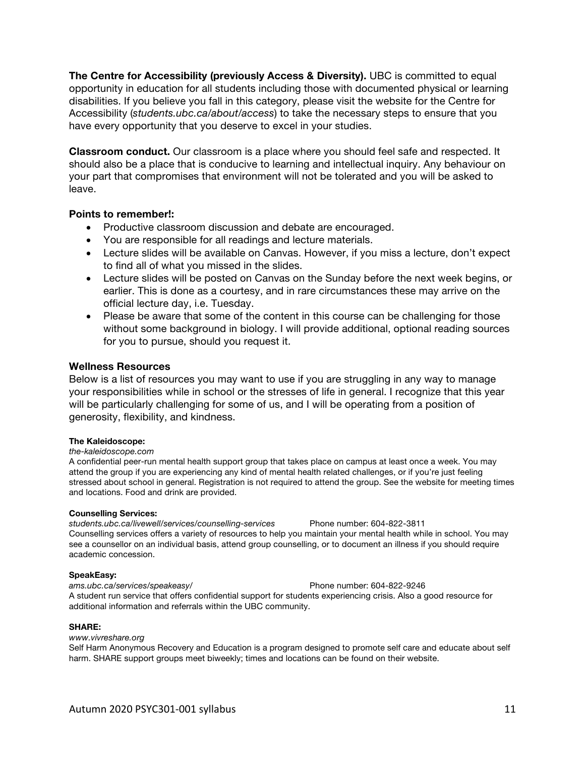**The Centre for Accessibility (previously Access & Diversity).** UBC is committed to equal opportunity in education for all students including those with documented physical or learning disabilities. If you believe you fall in this category, please visit the website for the Centre for Accessibility (*students.ubc.ca/about/access*) to take the necessary steps to ensure that you have every opportunity that you deserve to excel in your studies.

**Classroom conduct.** Our classroom is a place where you should feel safe and respected. It should also be a place that is conducive to learning and intellectual inquiry. Any behaviour on your part that compromises that environment will not be tolerated and you will be asked to leave.

### **Points to remember!:**

- Productive classroom discussion and debate are encouraged.
- You are responsible for all readings and lecture materials.
- Lecture slides will be available on Canvas. However, if you miss a lecture, don't expect to find all of what you missed in the slides.
- Lecture slides will be posted on Canvas on the Sunday before the next week begins, or earlier. This is done as a courtesy, and in rare circumstances these may arrive on the official lecture day, i.e. Tuesday.
- Please be aware that some of the content in this course can be challenging for those without some background in biology. I will provide additional, optional reading sources for you to pursue, should you request it.

### **Wellness Resources**

Below is a list of resources you may want to use if you are struggling in any way to manage your responsibilities while in school or the stresses of life in general. I recognize that this year will be particularly challenging for some of us, and I will be operating from a position of generosity, flexibility, and kindness.

### **The Kaleidoscope:**

### *the-kaleidoscope.com*

A confidential peer-run mental health support group that takes place on campus at least once a week. You may attend the group if you are experiencing any kind of mental health related challenges, or if you're just feeling stressed about school in general. Registration is not required to attend the group. See the website for meeting times and locations. Food and drink are provided.

### **Counselling Services:**

*students.ubc.ca/livewell/services/counselling-services* Phone number: 604-822-3811 Counselling services offers a variety of resources to help you maintain your mental health while in school. You may see a counsellor on an individual basis, attend group counselling, or to document an illness if you should require academic concession.

### **SpeakEasy:**

*ams.ubc.ca/services/speakeasy/* Phone number: 604-822-9246 A student run service that offers confidential support for students experiencing crisis. Also a good resource for additional information and referrals within the UBC community.

### **SHARE:**

### *www.vivreshare.org*

Self Harm Anonymous Recovery and Education is a program designed to promote self care and educate about self harm. SHARE support groups meet biweekly; times and locations can be found on their website.